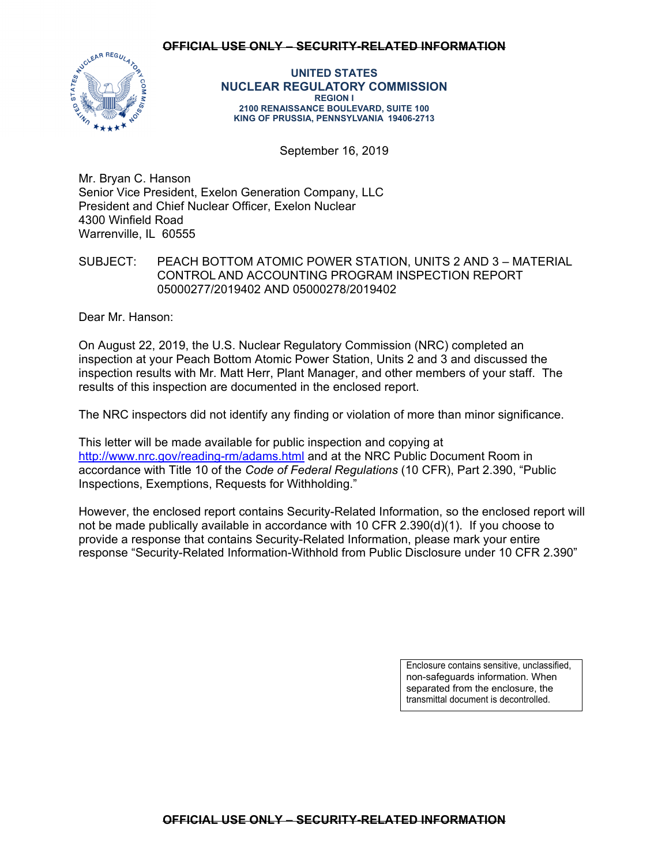### **OFFICIAL USE ONLY – SECURITY-RELATED INFORMATION**



**UNITED STATES NUCLEAR REGULATORY COMMISSION REGION I 2100 RENAISSANCE BOULEVARD, SUITE 100 KING OF PRUSSIA, PENNSYLVANIA 19406-2713** 

September 16, 2019

Mr. Bryan C. Hanson Senior Vice President, Exelon Generation Company, LLC President and Chief Nuclear Officer, Exelon Nuclear 4300 Winfield Road Warrenville, IL 60555

# SUBJECT: PEACH BOTTOM ATOMIC POWER STATION, UNITS 2 AND 3 – MATERIAL CONTROL AND ACCOUNTING PROGRAM INSPECTION REPORT 05000277/2019402 AND 05000278/2019402

Dear Mr. Hanson:

On August 22, 2019, the U.S. Nuclear Regulatory Commission (NRC) completed an inspection at your Peach Bottom Atomic Power Station, Units 2 and 3 and discussed the inspection results with Mr. Matt Herr, Plant Manager, and other members of your staff. The results of this inspection are documented in the enclosed report.

The NRC inspectors did not identify any finding or violation of more than minor significance.

This letter will be made available for public inspection and copying at http://www.nrc.gov/reading-rm/adams.html and at the NRC Public Document Room in accordance with Title 10 of the *Code of Federal Regulations* (10 CFR), Part 2.390, "Public Inspections, Exemptions, Requests for Withholding."

However, the enclosed report contains Security-Related Information, so the enclosed report will not be made publically available in accordance with 10 CFR 2.390(d)(1). If you choose to provide a response that contains Security-Related Information, please mark your entire response "Security-Related Information-Withhold from Public Disclosure under 10 CFR 2.390"

> Enclosure contains sensitive, unclassified, non-safeguards information. When separated from the enclosure, the transmittal document is decontrolled.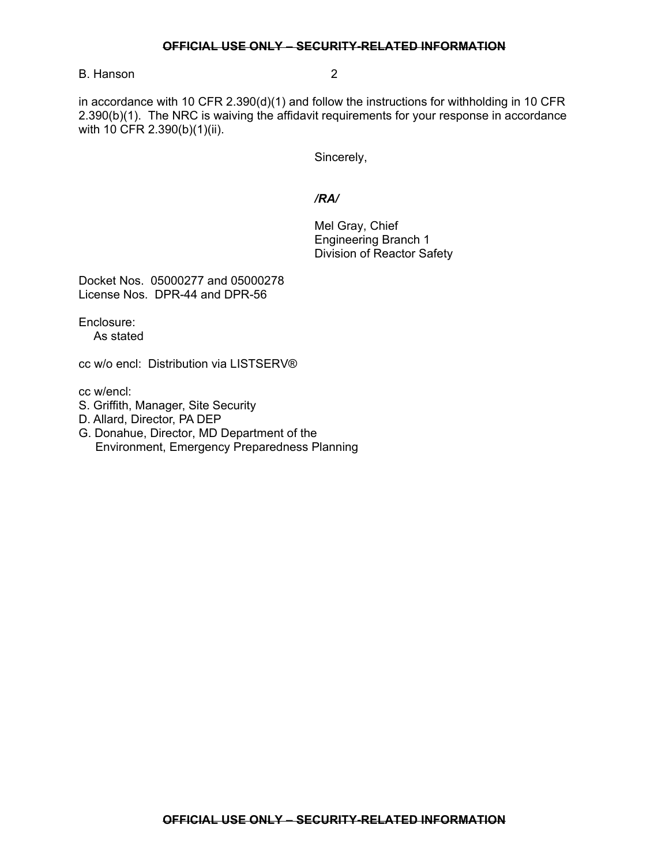### **OFFICIAL USE ONLY – SECURITY-RELATED INFORMATION**

## B. Hanson 2

in accordance with 10 CFR 2.390(d)(1) and follow the instructions for withholding in 10 CFR 2.390(b)(1). The NRC is waiving the affidavit requirements for your response in accordance with 10 CFR 2.390(b)(1)(ii).

Sincerely,

## */RA/*

Mel Gray, Chief Engineering Branch 1 Division of Reactor Safety

Docket Nos. 05000277 and 05000278 License Nos. DPR-44 and DPR-56

Enclosure:

As stated

cc w/o encl: Distribution via LISTSERV®

cc w/encl:

- S. Griffith, Manager, Site Security
- D. Allard, Director, PA DEP
- G. Donahue, Director, MD Department of the Environment, Emergency Preparedness Planning